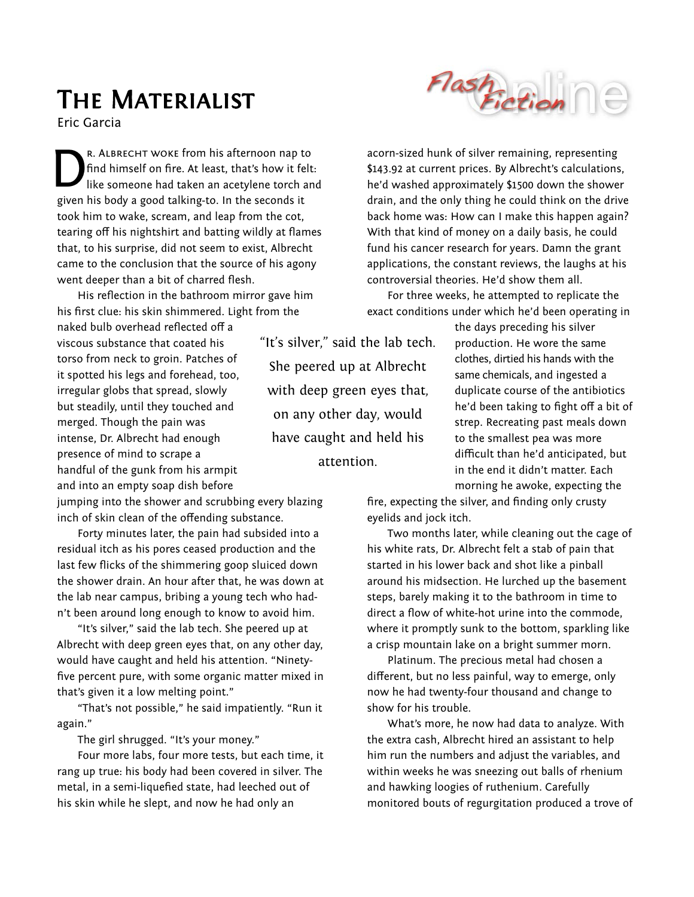## **Flash** Fiction

## THE MATERIALIST

Eric Garcia

r. Albrecht woke from his afternoon nap to find himself on fire. At least, that's how it felt: like someone had taken an acetylene torch and given his body a good talking-to. In the seconds it took him to wake, scream, and leap from the cot, tearing off his nightshirt and batting wildly at flames that, to his surprise, did not seem to exist, Albrecht came to the conclusion that the source of his agony went deeper than a bit of charred flesh. D

His reflection in the bathroom mirror gave him his first clue: his skin shimmered. Light from the

naked bulb overhead reflected off a viscous substance that coated his torso from neck to groin. Patches of it spotted his legs and forehead, too, irregular globs that spread, slowly but steadily, until they touched and merged. Though the pain was intense, Dr. Albrecht had enough presence of mind to scrape a handful of the gunk from his armpit and into an empty soap dish before

"It's silver," said the lab tech. She peered up at Albrecht with deep green eyes that, on any other day, would have caught and held his attention.

acorn-sized hunk of silver remaining, representing \$143.92 at current prices. By Albrecht's calculations, he'd washed approximately \$1500 down the shower drain, and the only thing he could think on the drive back home was: How can I make this happen again? With that kind of money on a daily basis, he could fund his cancer research for years. Damn the grant applications, the constant reviews, the laughs at his controversial theories. He'd show them all.

For three weeks, he attempted to replicate the exact conditions under which he'd been operating in

> the days preceding his silver production. He wore the same clothes, dirtied his hands with the same chemicals, and ingested a duplicate course of the antibiotics he'd been taking to fight off a bit of strep. Recreating past meals down to the smallest pea was more difficult than he'd anticipated, but in the end it didn't matter. Each morning he awoke, expecting the

jumping into the shower and scrubbing every blazing inch of skin clean of the offending substance.

Forty minutes later, the pain had subsided into a residual itch as his pores ceased production and the last few flicks of the shimmering goop sluiced down the shower drain. An hour after that, he was down at the lab near campus, bribing a young tech who hadn't been around long enough to know to avoid him.

"It's silver," said the lab tech. She peered up at Albrecht with deep green eyes that, on any other day, would have caught and held his attention. "Ninetyfive percent pure, with some organic matter mixed in that's given it a low melting point."

"That's not possible," he said impatiently. "Run it again."

The girl shrugged. "It's your money."

Four more labs, four more tests, but each time, it rang up true: his body had been covered in silver. The metal, in a semi-liquefied state, had leeched out of his skin while he slept, and now he had only an

fire, expecting the silver, and finding only crusty eyelids and jock itch.

Two months later, while cleaning out the cage of his white rats, Dr. Albrecht felt a stab of pain that started in his lower back and shot like a pinball around his midsection. He lurched up the basement steps, barely making it to the bathroom in time to direct a flow of white-hot urine into the commode, where it promptly sunk to the bottom, sparkling like a crisp mountain lake on a bright summer morn.

Platinum. The precious metal had chosen a different, but no less painful, way to emerge, only now he had twenty-four thousand and change to show for his trouble.

What's more, he now had data to analyze. With the extra cash, Albrecht hired an assistant to help him run the numbers and adjust the variables, and within weeks he was sneezing out balls of rhenium and hawking loogies of ruthenium. Carefully monitored bouts of regurgitation produced a trove of